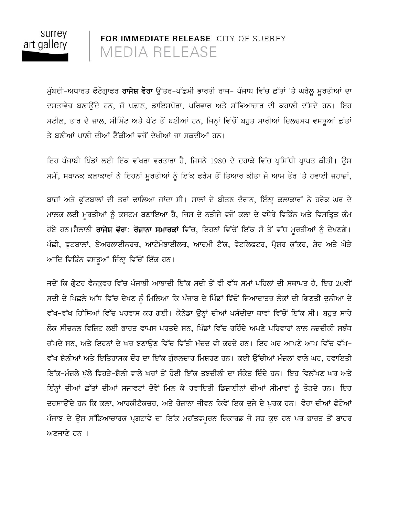

FOR IMMEDIATE RELEASE CITY OF SURREY MEDIA RELEASE

ਮੁੰਬਈ-ਅਧਾਰਤ ਫੋਟੋਗ੍ਰਾਫਰ **ਰਾਜੇਸ਼ ਵੋਰਾ** ਉੱਤਰ-ਪੱਛਮੀ ਭਾਰਤੀ ਰਾਜ- ਪੰਜਾਬ ਵਿੱਚ ਛੱਤਾਂ 'ਤੇ ਘਰੇਲੂ ਮੁਰਤੀਆਂ ਦਾ ਦਸਤਾਵੇਜ਼ ਬਣਾਉਂਦੇ ਹਨ, ਜੋ ਪਛਾਣ, ਡਾਇਸਪੋਰਾ, ਪਰਿਵਾਰ ਅਤੇ ਸੱਭਿਆਚਾਰ ਦੀ ਕਹਾਣੀ ਦੱਸਦੇ ਹਨ। ਇਹ ਸਟੀਲ, ਤਾਰ ਦੇ ਜਾਲ, ਸੀਮਿੰਟ ਅਤੇ ਪੇਂਟ ਤੋਂ ਬਣੀਆਂ ਹਨ, ਜਿਨ੍ਹਾਂ ਵਿੱਚੋਂ ਬਹੁਤ ਸਾਰੀਆਂ ਦਿਲਚਸਪ ਵਸਤੂਆਂ ਛੱਤਾਂ ਤੇ ਬਣੀਆਂ ਪਾਣੀ ਦੀਆਂ ਟੈਂਕੀਆਂ ਵਜੋਂ ਦੇਖੀਆਂ ਜਾ ਸਕਦੀਆਂ ਹਨ।

ਇਹ ਪੰਜਾਬੀ ਪਿੰਡਾਂ ਲਈ ਇੱਕ ਵੱਖਰਾ ਵਰਤਾਰਾ ਹੈ, ਜਿਸਨੇ 1980 ਦੇ ਦਹਾਕੇ ਵਿੱਚ ਪ੍ਰਸਿੱਧੀ ਪ੍ਰਾਪਤ ਕੀਤੀ। ਉਸ ਸਮੇਂ, ਸਥਾਨਕ ਕਲਾਕਾਰਾਂ ਨੇ ਇਹਨਾਂ ਮੁਰਤੀਆਂ ਨੂੰ ਇੱਕ ਫਰੇਮ ਤੋਂ ਤਿਆਰ ਕੀਤਾ ਜੋ ਆਮ ਤੌਰ 'ਤੇ ਹਵਾਈ ਜਹਾਜ਼ਾਂ,

ਬਾਜ਼ਾਂ ਅਤੇ ਫੁੱਟਬਾਲਾਂ ਦੀ ਤਰਾਂ ਢਾਲਿਆ ਜਾਂਦਾ ਸੀ। ਸਾਲਾਂ ਦੇ ਬੀਤਣ ਦੌਰਾਨ, ਇੰਨ੍ਹਾ ਕਲਾਕਾਰਾਂ ਨੇ ਹਰੇਕ ਘਰ ਦੇ ਮਾਲਕ ਲਈ ਮੁਰਤੀਆਂ ਨੂੰ ਕਸਟਮ ਬਣਾਇਆ ਹੈ, ਜਿਸ ਦੇ ਨਤੀਜੇ ਵਜੋਂ ਕਲਾ ਦੇ ਵਧੇਰੇ ਵਿਭਿੰਨ ਅਤੇ ਵਿਸਤ੍ਰਿਤ ਕੰਮ ਹੋਏ ਹਨ।ਸੈਲਾਨੀ **ਰਾਜੇਸ਼ ਵੋਰਾ**: **ਰੋਜ਼ਾਨਾ ਸਮਾਰਕਾਂ** ਵਿੱਚ, ਇਹਨਾਂ ਵਿੱਚੋਂ ਇੱਕ ਸੌ ਤੋਂ ਵੱਧ ਮੂਰਤੀਆਂ ਨੂੰ ਦੇਖਣਗੇ। ਪੰਛੀ, ਫੁਟਬਾਲਾਂ, ਏਅਰਲਾਈਨਰਜ਼, ਆਟੋਮੋਬਾਈਲਜ਼, ਆਰਮੀ ਟੈਂਕ, ਵੇਟਲਿਫਟਰ, ਪ੍ਰੈਸ਼ਰ ਕੁੱਕਰ, ਸ਼ੇਰ ਅਤੇ ਘੋੜੇ ਆਦਿ ਵਿਭਿੰਨ ਵਸਤੂਆਂ ਜਿੰਨ੍ਹਾ ਵਿੱਚੋਂ ਇੱਕ ਹਨ।

ਜਦੋਂ ਕਿ ਗ੍ਰੇਟਰ ਵੈਨਕੁਵਰ ਵਿੱਚ ਪੰਜਾਬੀ ਆਬਾਦੀ ਇੱਕ ਸਦੀ ਤੋਂ ਵੀ ਵੱਧ ਸਮਾਂ ਪਹਿਲਾਂ ਦੀ ਸਥਾਪਤ ਹੈ, ਇਹ 20ਵੀਂ ਸਦੀ ਦੇ ਪਿਛਲੇ ਆੱਧ ਵਿੱਚ ਦੇਖਣ ਨੂੰ ਮਿਲਿਆ ਕਿ ਪੰਜਾਬ ਦੇ ਪਿੰਡਾਂ ਵਿੱਚੋਂ ਜਿਆਦਾਤਰ ਲੋਕਾਂ ਦੀ ਗਿਣਤੀ ਦੁਨੀਆ ਦੇ ਵੱਖ-ਵੱਖ ਹਿੱਸਿਆਂ ਵਿੱਚ ਪਰਵਾਸ ਕਰ ਗਈ। ਕੈਨੇਡਾ ਉਨ੍ਹਾਂ ਦੀਆਂ ਪਸੰਦੀਦਾ ਥਾਵਾਂ ਵਿੱਚੋਂ ਇੱਕ ਸੀ। ਬਹੁਤ ਸਾਰੇ ਲੋਕ ਸੀਜ਼ਨਲ ਵਿਜ਼ਿਟ ਲਈ ਭਾਰਤ ਵਾਪਸ ਪਰਤਦੇ ਸਨ, ਪਿੰਡਾਂ ਵਿੱਚ ਰਹਿੰਦੇ ਅਪਣੇ ਪਰਿਵਾਰਾਂ ਨਾਲ ਨਜ਼ਦੀਕੀ ਸਬੰਧ ਰੱਖਦੇ ਸਨ, ਅਤੇ ਇਹਨਾਂ ਦੇ ਘਰ ਬਣਾਉਣ ਵਿੱਚ ਵਿੱਤੀ ਮੱਦਦ ਵੀ ਕਰਦੇ ਹਨ। ਇਹ ਘਰ ਆਪਣੇ ਆਪ ਵਿੱਚ ਵੱਖ-ਵੱਖ ਸ਼ੈਲੀਆਂ ਅਤੇ ਇਤਿਹਾਸਕ ਦੌਰ ਦਾ ਇੱਕ ਗੰਝਲਦਾਰ ਮਿਸ਼ਰਣ ਹਨ। ਕਈ ਉੱਚੀਆਂ ਮੰਜ਼ਲਾਂ ਵਾਲੇ ਘਰ, ਰਵਾਇਤੀ ਇੱਕ-ਮੰਜ਼ਲੇ ਖੁੱਲੇ ਵਿਹੜੇ-ਸ਼ੈਲੀ ਵਾਲੇ ਘਰਾਂ ਤੋਂ ਹੋਈ ਇੱਕ ਤਬਦੀਲੀ ਦਾ ਸੰਕੇਤ ਦਿੰਦੇ ਹਨ। ਇਹ ਵਿਲੱਖਣ ਘਰ ਅਤੇ ਇੰਨ੍ਹਾਂ ਦੀਆਂ ਛੱਤਾਂ ਦੀਆਂ ਸਜਾਵਟਾਂ ਦੋਵੇਂ ਮਿਲ ਕੇ ਰਵਾਇਤੀ ਡਿਜ਼ਾਈਨਾਂ ਦੀਆਂ ਸੀਮਾਵਾਂ ਨੂੰ ਤੋੜਦੇ ਹਨ। ਇਹ ਦਰਸਾਉਂਦੇ ਹਨ ਕਿ ਕਲਾ, ਆਰਕੀਟੈਕਚਰ, ਅਤੇ ਰੋਜ਼ਾਨਾ ਜੀਵਨ ਕਿਵੇਂ ਇਕ ਦੂਜੇ ਦੇ ਪੂਰਕ ਹਨ। ਵੋਰਾ ਦੀਆਂ ਫੋਟੋਆਂ ਪੰਜਾਬ ਦੇ ਉਸ ਸੱਭਿਆਚਾਰਕ ਪ੍ਰਗਟਾਵੇ ਦਾ ਇੱਕ ਮਹੱਤਵਪੂਰਨ ਰਿਕਾਰਡ ਜੋ ਸਭ ਕੁਝ ਹਨ ਪਰ ਭਾਰਤ ਤੋਂ ਬਾਹਰ ਅਣਜਾਣੇ ਹਨ ।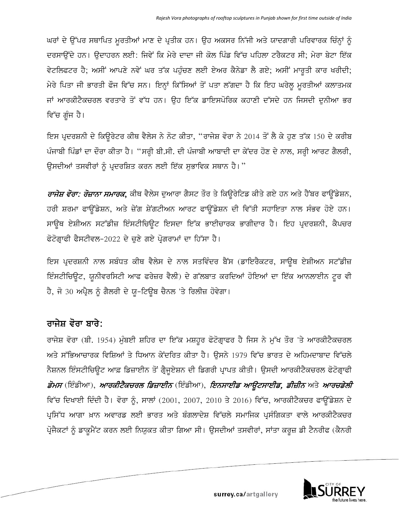ਘਰਾਂ ਦੇ ਉੱਪਰ ਸਥਾਪਿਤ ਮੁਰਤੀਆਂ ਮਾਣ ਦੇ ਪ੍ਰਤੀਕ ਹਨ। ਉਹ ਅਕਸਰ ਨਿੱਜੀ ਅਤੇ ਯਾਦਗਾਰੀ ਪਰਿਵਾਰਕ ਚਿੰਨ੍ਹਾਂ ਨੂੰ ਦਰਸਾਉਂਦੇ ਹਨ। ਉਦਾਹਰਨ ਲਈ: ਜਿਵੇਂ ਕਿ ਮੇਰੇ ਦਾਦਾ ਜੀ ਕੋਲ ਪਿੰਡ ਵਿੱਚ ਪਹਿਲਾ ਟਰੈਕਟਰ ਸੀ; ਮੇਰਾ ਬੇਟਾ ਇੱਕ ਵੇਟਲਿਫਟਰ ਹੈ; ਅਸੀਂ ਆਪਣੇ ਨਵੇਂ ਘਰ ਤੱਕ ਪਹੁੰਚਣ ਲਈ ਏਅਰ ਕੈਨੇਡਾ ਲੈ ਗਏ; ਅਸੀਂ ਮਾਰਤੀ ਕਾਰ ਖਰੀਦੀ; ਮੇਰੇ ਪਿਤਾ ਜੀ ਭਾਰਤੀ ਫੌਜ ਵਿੱਚ ਸਨ। ਇਨ੍ਹਾਂ ਕਿੱਸਿਆਂ ਤੋਂ ਪਤਾ ਲੱਗਦਾ ਹੈ ਕਿ ਇਹ ਘਰੇਲੂ ਮੁਰਤੀਆਂ ਕਲਾਤਮਕ ਜਾਂ ਆਰਕੀਟੈਕਚਰਲ ਵਰਤਾਰੇ ਤੋਂ ਵੱਧ ਹਨ। ਉਹ ਇੱਕ ਡਾਇਸਪੋਰਿਕ ਕਹਾਣੀ ਦੱਸਦੇ ਹਨ ਜਿਸਦੀ ਦੁਨੀਆ ਭਰ ਵਿੱਚ ਗੁੰਜ ਹੈ।

ਇਸ ਪ੍ਰਦਰਸ਼ਨੀ ਦੇ ਕਿਉਰੇਟਰ ਕੀਥ ਵੈਲੇਸ ਨੇ ਨੋਟ ਕੀਤਾ, "ਰਾਜੇਸ਼ ਵੋਰਾ ਨੇ 2014 ਤੋਂ ਲੈ ਕੇ ਹੁਣ ਤੱਕ 150 ਦੇ ਕਰੀਬ ਪੰਜਾਬੀ ਪਿੰਡਾਂ ਦਾ ਦੌਰਾ ਕੀਤਾ ਹੈ। "ਸਰ੍ਹੀ ਬੀ.ਸੀ. ਦੀ ਪੰਜਾਬੀ ਆਬਾਦੀ ਦਾ ਕੇਂਦਰ ਹੋਣ ਦੇ ਨਾਲ, ਸਰ੍ਹੀ ਆਰਟ ਗੈਲਰੀ, ਉਸਦੀਆਂ ਤਸਵੀਰਾਂ ਨੂੰ ਪ੍ਰਦਰਸ਼ਿਤ ਕਰਨ ਲਈ ਇੱਕ ਸੁਭਾਵਿਕ ਸਥਾਨ ਹੈ। "

*ਰਾਜੇਸ਼ ਵੋਰਾ: ਰੋਜ਼ਾਨਾ ਸਮਾਰਕ*, ਕੀਥ ਵੈਲੇਸ ਦੁਆਰਾ ਗੈਸਟ ਤੌਰ ਤੇ ਕਿਉਰੇਟਿਡ ਕੀਤੇ ਗਏ ਹਨ ਅਤੇ ਹੈਂਬਰ ਫਾਉਂਡੇਸ਼ਨ, ਹਰੀ ਸ਼ਰਮਾ ਫਾਉਂਡੇਸ਼ਨ, ਅਤੇ ਜ਼ੇਂਗ ਸ਼ੇਂਗਟੀਅਨ ਆਰਟ ਫਾਉਂਡੇਸ਼ਨ ਦੀ ਵਿੱਤੀ ਸਹਾਇਤਾ ਨਾਲ ਸੰਭਵ ਹੋਏ ਹਨ। ਸਾਉਥ ਏਸ਼ੀਅਨ ਸਟੱਡੀਜ਼ ਇੰਸਟੀਚਿਉਟ ਇਸਦਾ ਇੱਕ ਭਾਈਚਾਰਕ ਭਾਗੀਦਾਰ ਹੈ। ਇਹ ਪ੍ਰਦਰਸ਼ਨੀ, ਕੈਪਚਰ ਫੋਟੋਗ੍ਰਾਫੀ ਫੈਸਟੀਵਲ-2022 ਦੇ ਚੁਣੇ ਗਏ ਪ੍ਰੋਗਰਾਮਾਂ ਦਾ ਹਿੱਸਾ ਹੈ।

ਇਸ ਪ੍ਰਦਰਸ਼ਨੀ ਨਾਲ ਸਬੰਧਤ ਕੀਥ ਵੈਲੇਸ ਦੇ ਨਾਲ ਸਤਵਿੰਦਰ ਬੈਂਸ (ਡਾਇਰੈਕਟਰ, ਸਾਉਥ ਏਸ਼ੀਅਨ ਸਟੱਡੀਜ਼ ਇੰਸਟੀਚਿਊਟ, ਯੂਨੀਵਰਸਿਟੀ ਆਫ ਫਰੇਜ਼ਰ ਵੈਲੀ) ਦੇ ਗੱਲਬਾਤ ਕਰਦਿਆਂ ਹੋਇਆਂ ਦਾ ਇੱਕ ਆਨਲਾਈਨ ਟਰ ਵੀ ਹੈ, ਜੋ 30 ਅਪ੍ਰੈਲ ਨੂੰ ਗੈਲਰੀ ਦੇ ਯੂ-ਟਿਊਬ ਚੈਨਲ 'ਤੇ ਰਿਲੀਜ਼ ਹੋਵੇਗਾ।

## ਰਾਜੇਸ਼ ਵੋਰਾ ਬਾਰੇ:

ਰਾਜੇਸ਼ ਵੋਰਾ (ਬੀ. 1954) ਮੁੰਬਈ ਸ਼ਹਿਰ ਦਾ ਇੱਕ ਮਸ਼ਹੂਰ ਫੋਟੋਗ੍ਰਾਫਰ ਹੈ ਜਿਸ ਨੇ ਮੁੱਖ ਤੌਰ 'ਤੇ ਆਰਕੀਟੈਕਚਰਲ ਅਤੇ ਸੱਭਿਆਚਾਰਕ ਵਿਸ਼ਿਆਂ ਤੇ ਧਿਆਨ ਕੇਂਦਰਿਤ ਕੀਤਾ ਹੈ। ਉਸਨੇ 1979 ਵਿੱਚ ਭਾਰਤ ਦੇ ਅਹਿਮਦਾਬਾਦ ਵਿੱਚਲੇ ਨੈਸ਼ਨਲ ਇੰਸਟੀਚਿਊਟ ਆਫ਼ ਡਿਜ਼ਾਈਨ ਤੋਂ ਗ੍ਰੈਜੂਏਸ਼ਨ ਦੀ ਡਿਗਰੀ ਪ੍ਰਾਪਤ ਕੀਤੀ। ਉਸਦੀ ਆਰਕੀਟੈਕਚਰਲ ਫੋਟੋਗ੍ਰਾਫੀ ਡੋਮਸ (ਇੰਡੀਆ), *ਆਰਕੀਟੈਕਚਰਲ ਡਿਜ਼ਾਈਨ* (ਇੰਡੀਆ), *ਇਨਸਾਈਡ ਆਉਟਸਾਈਡ, ਡੀਜ਼ੀਨ* ਅਤੇ *ਆਰਚਡੇਲੀ* ਵਿੱਚ ਦਿਖਾਈ ਦਿੰਦੀ ਹੈ। ਵੋਰਾ ਨੂੰ, ਸਾਲਾਂ (2001, 2007, 2010 ਤੇ 2016) ਵਿੱਚ, ਆਰਕੀਟੈਕਚਰ ਫਾਉਂਡੇਸ਼ਨ ਦੇ ਪ੍ਰਸਿੱਧ ਆਗਾ ਖ਼ਾਨ ਅਵਾਰਡ ਲਈ ਭਾਰਤ ਅਤੇ ਬੰਗਲਾਦੇਸ਼ ਵਿੱਚਲੇ ਸਮਾਜਿਕ ਪ੍ਰਸੰਗਿਕਤਾ ਵਾਲੇ ਆਰਕੀਟੈਕਚਰ ਪ੍ਰੋਜੈਕਟਾਂ ਨੂੰ ਡਾਕੁਮੈਂਟ ਕਰਨ ਲਈ ਨਿਯੁਕਤ ਕੀਤਾ ਗਿਆ ਸੀ। ਉਸਦੀਆਂ ਤਸਵੀਰਾਂ, ਸਾਂਤਾ ਕਰੁਜ਼ ਡੀ ਟੈਨਰੀਫ (ਕੈਨਰੀ